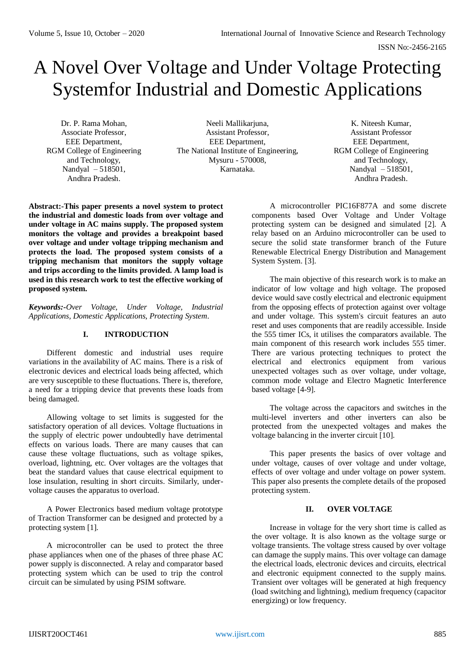# A Novel Over Voltage and Under Voltage Protecting Systemfor Industrial and Domestic Applications

Dr. P. Rama Mohan, Associate Professor, EEE Department, RGM College of Engineering and Technology, Nandyal – 518501, Andhra Pradesh.

Neeli Mallikariuna. Assistant Professor, EEE Department, The National Institute of Engineering, Mysuru - 570008, Karnataka.

K. Niteesh Kumar, Assistant Professor EEE Department, RGM College of Engineering and Technology, Nandyal – 518501, Andhra Pradesh.

**Abstract:-This paper presents a novel system to protect the industrial and domestic loads from over voltage and under voltage in AC mains supply. The proposed system monitors the voltage and provides a breakpoint based over voltage and under voltage tripping mechanism and protects the load. The proposed system consists of a tripping mechanism that monitors the supply voltage and trips according to the limits provided. A lamp load is used in this research work to test the effective working of proposed system.**

*Keywords:-Over Voltage, Under Voltage, Industrial Applications, Domestic Applications, Protecting System.*

## **I. INTRODUCTION**

Different domestic and industrial uses require variations in the availability of AC mains. There is a risk of electronic devices and electrical loads being affected, which are very susceptible to these fluctuations. There is, therefore, a need for a tripping device that prevents these loads from being damaged.

Allowing voltage to set limits is suggested for the satisfactory operation of all devices. Voltage fluctuations in the supply of electric power undoubtedly have detrimental effects on various loads. There are many causes that can cause these voltage fluctuations, such as voltage spikes, overload, lightning, etc. Over voltages are the voltages that beat the standard values that cause electrical equipment to lose insulation, resulting in short circuits. Similarly, undervoltage causes the apparatus to overload.

A Power Electronics based medium voltage prototype of Traction Transformer can be designed and protected by a protecting system [1].

A microcontroller can be used to protect the three phase appliances when one of the phases of three phase AC power supply is disconnected. A relay and comparator based protecting system which can be used to trip the control circuit can be simulated by using PSIM software.

A microcontroller PIC16F877A and some discrete components based Over Voltage and Under Voltage protecting system can be designed and simulated [2]. A relay based on an Arduino microcontroller can be used to secure the solid state transformer branch of the Future Renewable Electrical Energy Distribution and Management System System. [3].

The main objective of this research work is to make an indicator of low voltage and high voltage. The proposed device would save costly electrical and electronic equipment from the opposing effects of protection against over voltage and under voltage. This system's circuit features an auto reset and uses components that are readily accessible. Inside the 555 timer ICs, it utilises the comparators available. The main component of this research work includes 555 timer. There are various protecting techniques to protect the electrical and electronics equipment from various unexpected voltages such as over voltage, under voltage, common mode voltage and Electro Magnetic Interference based voltage [4-9].

The voltage across the capacitors and switches in the multi-level inverters and other inverters can also be protected from the unexpected voltages and makes the voltage balancing in the inverter circuit [10].

This paper presents the basics of over voltage and under voltage, causes of over voltage and under voltage, effects of over voltage and under voltage on power system. This paper also presents the complete details of the proposed protecting system.

## **II. OVER VOLTAGE**

Increase in voltage for the very short time is called as the over voltage. It is also known as the voltage surge or voltage transients. The voltage stress caused by over voltage can damage the supply mains. This over voltage can damage the electrical loads, electronic devices and circuits, electrical and electronic equipment connected to the supply mains. Transient over voltages will be generated at high frequency (load switching and lightning), medium frequency (capacitor energizing) or low frequency.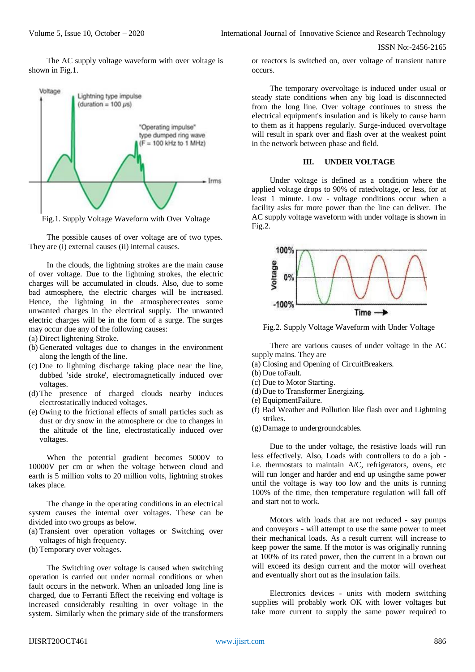The AC supply voltage waveform with over voltage is shown in Fig.1.



Fig.1. Supply Voltage Waveform with Over Voltage

The possible causes of over voltage are of two types. They are (i) external causes (ii) internal causes.

In the clouds, the lightning strokes are the main cause of over voltage. Due to the lightning strokes, the electric charges will be accumulated in clouds. Also, due to some bad atmosphere, the electric charges will be increased. Hence, the lightning in the atmospherecreates some unwanted charges in the electrical supply. The unwanted electric charges will be in the form of a surge. The surges may occur due any of the following causes:

- (a) Direct lightening Stroke.
- (b) Generated voltages due to changes in the environment along the length of the line.
- (c) Due to lightning discharge taking place near the line, dubbed 'side stroke', electromagnetically induced over voltages.
- (d) The presence of charged clouds nearby induces electrostatically induced voltages.
- (e) Owing to the frictional effects of small particles such as dust or dry snow in the atmosphere or due to changes in the altitude of the line, electrostatically induced over voltages.

When the potential gradient becomes 5000V to 10000V per cm or when the voltage between cloud and earth is 5 million volts to 20 million volts, lightning strokes takes place.

The change in the operating conditions in an electrical system causes the internal over voltages. These can be divided into two groups as below.

- (a) Transient over operation voltages or Switching over voltages of high frequency.
- (b) Temporary over voltages.

The Switching over voltage is caused when switching operation is carried out under normal conditions or when fault occurs in the network. When an unloaded long line is charged, due to Ferranti Effect the receiving end voltage is increased considerably resulting in over voltage in the system. Similarly when the primary side of the transformers

or reactors is switched on, over voltage of transient nature occurs.

The temporary overvoltage is induced under usual or steady state conditions when any big load is disconnected from the long line. Over voltage continues to stress the electrical equipment's insulation and is likely to cause harm to them as it happens regularly. Surge-induced overvoltage will result in spark over and flash over at the weakest point in the network between phase and field.

#### **III. UNDER VOLTAGE**

Under voltage is defined as a condition where the applied voltage drops to 90% of ratedvoltage, or less, for at least 1 minute. Low - voltage conditions occur when a facility asks for more power than the line can deliver. The AC supply voltage waveform with under voltage is shown in Fig.2.



Fig.2. Supply Voltage Waveform with Under Voltage

There are various causes of under voltage in the AC supply mains. They are

- (a) Closing and Opening of CircuitBreakers.
- (b) Due toFault.
- (c) Due to Motor Starting.
- (d) Due to Transformer Energizing.
- (e) EquipmentFailure.
- (f) Bad Weather and Pollution like flash over and Lightning strikes.
- (g) Damage to undergroundcables.

Due to the under voltage, the resistive loads will run less effectively. Also, Loads with controllers to do a job i.e. thermostats to maintain A/C, refrigerators, ovens, etc will run longer and harder and end up usingthe same power until the voltage is way too low and the units is running 100% of the time, then temperature regulation will fall off and start not to work.

Motors with loads that are not reduced - say pumps and conveyors - will attempt to use the same power to meet their mechanical loads. As a result current will increase to keep power the same. If the motor is was originally running at 100% of its rated power, then the current in a brown out will exceed its design current and the motor will overheat and eventually short out as the insulation fails.

Electronics devices - units with modern switching supplies will probably work OK with lower voltages but take more current to supply the same power required to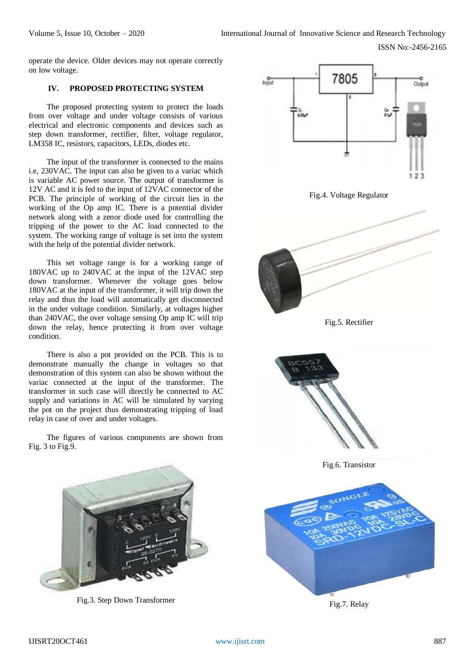operate the device. Older devices may not operate correctly on low voltage.

## **IV. PROPOSED PROTECTING SYSTEM**

The proposed protecting system to protect the loads from over voltage and under voltage consists of various electrical and electronic components and devices such as step down transformer, rectifier, filter, voltage regulator, LM358 IC, resistors, capacitors, LEDs, diodes etc.

The input of the transformer is connected to the mains i.e, 230VAC. The input can also be given to a variac which is variable AC power source. The output of transformer is 12V AC and it is fed to the input of 12VAC connector of the PCB. The principle of working of the circuit lies in the working of the Op amp IC. There is a potential divider network along with a zenor diode used for controlling the tripping of the power to the AC load connected to the system. The working range of voltage is set into the system with the help of the potential divider network.

This set voltage range is for a working range of 180VAC up to 240VAC at the input of the 12VAC step down transformer. Whenever the voltage goes below 180VAC at the input of the transformer, it will trip down the relay and thus the load will automatically get disconnected in the under voltage condition. Similarly, at voltages higher than 240VAC, the over voltage sensing Op amp IC will trip down the relay, hence protecting it from over voltage condition.

There is also a pot provided on the PCB. This is to demonstrate manually the change in voltages so that demonstration of this system can also be shown without the variac connected at the input of the transformer. The transformer in such case will directly be connected to AC supply and variations in AC will be simulated by varying the pot on the project thus demonstrating tripping of load relay in case of over and under voltages.

The figures of various components are shown from Fig. 3 to Fig.9.



Fig.3. Step Down Transformer



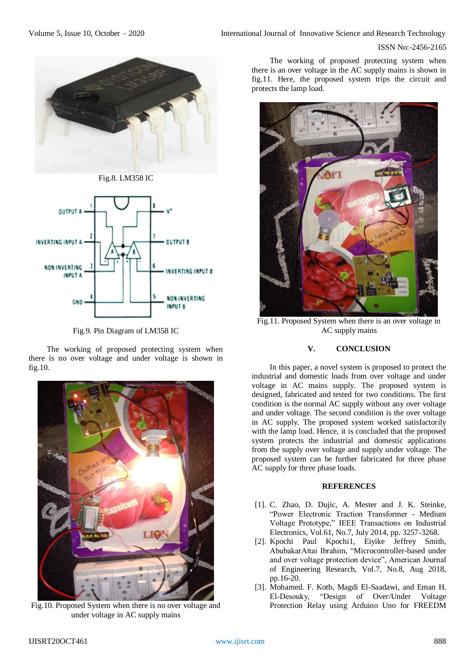

Fig.8. LM358 IC



Fig.9. Pin Diagram of LM358 IC

The working of proposed protecting system when there is no over voltage and under voltage is shown in fig.10.



Fig.10. Proposed System when there is no over voltage and under voltage in AC supply mains

The working of proposed protecting system when there is an over voltage in the AC supply mains is shown in fig.11. Here, the proposed system trips the circuit and protects the lamp load.



Fig.11. Proposed System when there is an over voltage in AC supply mains

## **V. CONCLUSION**

In this paper, a novel system is proposed to protect the industrial and domestic loads from over voltage and under voltage in AC mains supply. The proposed system is designed, fabricated and tested for two conditions. The first condition is the normal AC supply without any over voltage and under voltage. The second condition is the over voltage in AC supply. The proposed system worked satisfactorily with the lamp load. Hence, it is concluded that the proposed system protects the industrial and domestic applications from the supply over voltage and supply under voltage. The proposed system can be further fabricated for three phase AC supply for three phase loads.

## **REFERENCES**

- [1]. C. Zhao, D. Dujic, A. Mester and J. K. Steinke, "Power Electronic Traction Transformer - Medium Voltage Prototype," IEEE Transactions on Industrial Electronics, Vol.61, No.7, July 2014, pp. 3257-3268.
- [2]. Kpochi Paul Kpochi1, Eiyike Jeffrey Smith, AbubakarAttai Ibrahim, "Microcontroller-based under and over voltage protection device", American Journal of Engineering Research, Vol.7, No.8, Aug 2018, pp.16-20.
- [3]. Mohamed. F. Kotb, Magdi El-Saadawi, and Eman H. El-Desouky, "Design of Over/Under Voltage Protection Relay using Arduino Uno for FREEDM